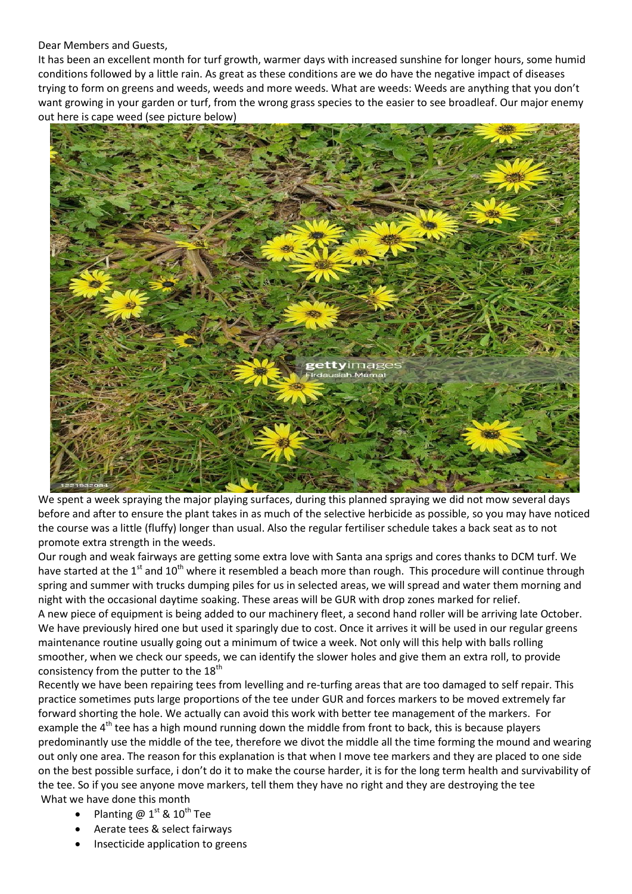## Dear Members and Guests,

It has been an excellent month for turf growth, warmer days with increased sunshine for longer hours, some humid conditions followed by a little rain. As great as these conditions are we do have the negative impact of diseases trying to form on greens and weeds, weeds and more weeds. What are weeds: Weeds are anything that you don't want growing in your garden or turf, from the wrong grass species to the easier to see broadleaf. Our major enemy out here is cape weed (see picture below)



We spent a week spraying the major playing surfaces, during this planned spraying we did not mow several days before and after to ensure the plant takes in as much of the selective herbicide as possible, so you may have noticed the course was a little (fluffy) longer than usual. Also the regular fertiliser schedule takes a back seat as to not promote extra strength in the weeds.

Our rough and weak fairways are getting some extra love with Santa ana sprigs and cores thanks to DCM turf. We have started at the  $1^{st}$  and  $10^{th}$  where it resembled a beach more than rough. This procedure will continue through spring and summer with trucks dumping piles for us in selected areas, we will spread and water them morning and night with the occasional daytime soaking. These areas will be GUR with drop zones marked for relief. A new piece of equipment is being added to our machinery fleet, a second hand roller will be arriving late October. We have previously hired one but used it sparingly due to cost. Once it arrives it will be used in our regular greens maintenance routine usually going out a minimum of twice a week. Not only will this help with balls rolling smoother, when we check our speeds, we can identify the slower holes and give them an extra roll, to provide consistency from the putter to the  $18<sup>th</sup>$ 

Recently we have been repairing tees from levelling and re-turfing areas that are too damaged to self repair. This practice sometimes puts large proportions of the tee under GUR and forces markers to be moved extremely far forward shorting the hole. We actually can avoid this work with better tee management of the markers. For example the 4<sup>th</sup> tee has a high mound running down the middle from front to back, this is because players predominantly use the middle of the tee, therefore we divot the middle all the time forming the mound and wearing out only one area. The reason for this explanation is that when I move tee markers and they are placed to one side on the best possible surface, i don't do it to make the course harder, it is for the long term health and survivability of the tee. So if you see anyone move markers, tell them they have no right and they are destroying the tee What we have done this month

- Planting  $\omega$  1<sup>st</sup> & 10<sup>th</sup> Tee
- Aerate tees & select fairways
- Insecticide application to greens